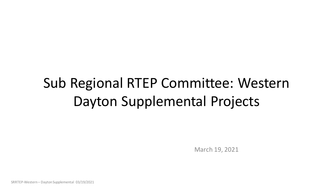# Sub Regional RTEP Committee: Western Dayton Supplemental Projects

March 19, 2021

SRRTEP-Western – Dayton Supplemental 03/19/2021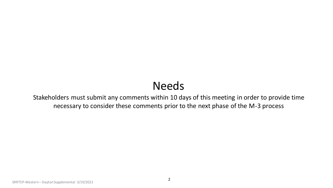## Needs

Stakeholders must submit any comments within 10 days of this meeting in order to provide time necessary to consider these comments prior to the next phase of the M-3 process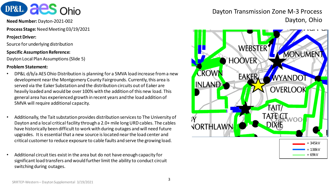

**Process Stage:** Need Meeting 03/19/2021

### **Project Driver:**

Source for underlying distribution

### **Specific Assumption Reference:**

Dayton Local Plan Assumptions (Slide 5)

### **Problem Statement:**

- DP&L d/b/a AES Ohio Distribution is planning for a 5MVA load increase from a new development near the Montgomery County Fairgrounds. Currently, this area is served via the Eaker Substation and the distribution circuits out of Eaker are heavily loaded and would be over 100% with the addition of this new load. This general area has experienced growth in recent years and the load addition of 5MVA will require additional capacity.
- Additionally, the Tait substation provides distribution services to The University of Dayton and a local critical facility through a 2.0+ mile long URD cables. The cables have historically been difficult to work with during outages and will need future upgrades. It is essential that a new source is located near the load center and critical customer to reduce exposure to cable faults and serve the growing load.
- Additional circuit ties exist in the area but do not have enough capacity for significant load transfers and would further limit the ability to conduct circuit switching during outages.

### Dayton Transmission Zone M-3 Process **Need Number:** Dayton-2021-002 Dayton, Ohio

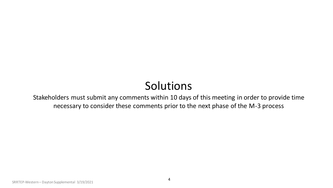## Solutions

Stakeholders must submit any comments within 10 days of this meeting in order to provide time necessary to consider these comments prior to the next phase of the M-3 process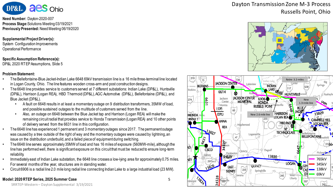

**Need Number:** Dayton-2020-007 **Process Stage:**Solutions Meeting 03/19/2021 **Previously Presented:** Need Meeting 06/19/2020

#### **Supplemental Project Driver(s):**

System Configuration Improvements Operational Performance

#### **Specific Assumption Reference(s):**

DP&L 2020 RTEP Assumptions, Slide 5

#### **Problem Statement:**

- The Bellefontaine-Blue Jacket-Indian Lake 6648 69kV transmission line is a 16 mile three-terminal line located in Logan County, Ohio. The line features wooden cross-arm and post construction designs.
- The 6648 line provides service to customers served at 7 different substations: Indian Lake (DP&L), Huntsville (DP&L), Harrison (Logan REA), HBD Thermoid (DP&L), AGC Automotive (DP&L), Bellefontaine (DP&L), and Blue Jacket (DP&L).
	- A fault on 6648 results in at least a momentary outage on 9 distribution transformers, 35MW of load, and possible sustained outages to the multitude of customers served from the line.
	- Also, an outage on 6648 between the Blue Jacket tap and Harrison (Logan REA) will make the remaining circuit radial that provides service to Honda Transmission (Logan REA) and 10 other points of delivery served from the 6631 line in this configuration.
- The 6648 line has experienced 1 permanent and 3 momentary outages since 2017. The permanent outage was caused by a tree outside of the right of way and the momentary outages were caused by lightning, an issue on the distribution underbuild, and a failed piece of equipment during switching.
- The 6648 line serves approximately 35MW of load and has 16 miles of exposure (560MW-mile), although the line has performed well, there is significant exposure on this circuit that must be reduced to ensure long-term reliability.
- Immediately east of Indian Lake substation, the 6648 line crosses a low-lying area for approximately 0.75 miles. For several months of the year, structures are in standing water.
- Circuit 6906 is a radial line 2.0 mile long radial line connecting Indian Lake to a large industrial load (23 MW).

#### **Model: 2020 RTEP Series, 2025 Summer Case**

### Dayton Transmission Zone M-3 Process Russells Point, Ohio





SRRTEP-Western – Dayton Supplemental 3/19/2021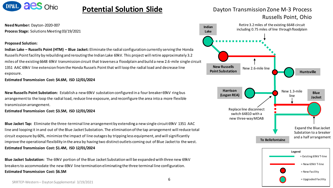

### **Potential Solution Slide**

**Need Number:** Dayton-2020-007 **Process Stage:** Solutions Meeting 03/19/2021

#### **Proposed Solution:**

**Indian Lake – Russells Point (HTM) – Blue Jacket:** Eliminate the radial configuration currently serving the Honda Russells Point facility by rebuilding and rerouting the Indian Lake 69kV. This project will retire approximately 3.2 miles of the existing 6648 69kV transmission circuit that traverses a floodplain and build a new 2.6-mile single circuit 1351 AAC 69kV line extension from the Honda Russels Point that will loop the radial load and decrease line exposure.

**Estimated Transmission Cost: \$4.6M, ISD 12/01/2024**

**New Russells Point Substation:** Establish a new 69kV substation configured in a four breaker 69kV ring bus arrangement to the loop the radial load, reduce line exposure, and reconfigure the area into a more flexible transmission arrangement.

#### **Estimated Transmission Cost: \$3.5M, ISD 12/01/2024**

**Blue Jacket Tap:** Eliminate the three-terminal line arrangement by extending a new single circuit 69kV 1351 AAC line and looping it in and out of the Blue Jacket Substation. The elimination of the tap arrangement will reduce total circuit exposure by 60%, minimize the impact of line outages by tripping less equipment, and will significantly improve the operational flexibility in the area by having two distinct outlets coming out of Blue Jacket to the west. **Estimated Transmission Cost: \$1.4M, ISD 12/01/2024**

**Blue Jacket Substation:** The 69kV portion of the Blue Jacket Substation will be expanded with three new 69kV breakers to accommodate the new 69kV line termination eliminating the three terminal line configuration. **Estimated Transmission Cost: \$6.5M** 



Dayton Transmission Zone M-3 Process

Russells Point, Ohio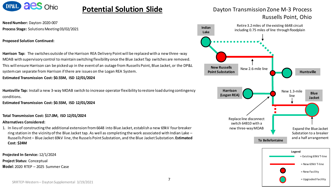

### **Potential Solution Slide**

**Need Number:** Dayton-2020-007 **Process Stage:** Solutions Meeting 03/02/2021

**Proposed Solution Continued:**

**Harrison Tap:** The switches outside of the Harrison REA Delivery Point will be replaced with a new three -way MOAB with supervisory control to maintain switching flexibility once the Blue Jacket Tap switches are removed. This will ensure Harrison can be picked up in the event of an outage from Russells Point, Blue Jacket, or the DP&L system can separate from Harrison if there are issues on the Logan REA System.

**Estimated Transmission Cost: \$0.55M, ISD 12/01/2024**

**Huntsville Tap:** Install a new 3-way MOAB switch to increase operator flexibility to restore load during contingency conditions.

**Estimated Transmission Cost: \$0.55M, ISD 12/01/2024**

**Total Transmission Cost: \$17.0M, ISD 12/01/2024**

#### **Alternatives Considered:**

1. In lieu of constructing the additional extension from 6648 into Blue Jacket, establish a new 69kV four breaker ring station in the vicinity of the Blue Jacket tap. As well as completing the work associated with Indian Lake – Russells Point – Blue Jacket 69kV line, the Russels Point Substation, and the Blue Jacket Substation. **Estimated Cost: \$24M** 

**Projected In-Service:** 12/1/2024 **Project Status:** Conceptual **Model:** 2020 RTEP – 2025 Summer Case



Dayton Transmission Zone M-3 Process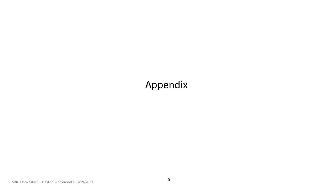## Appendix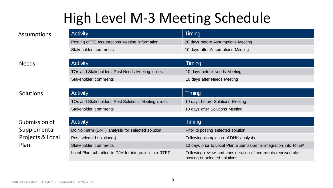# High Level M-3 Meeting Schedule

| <b>Activity</b>                               | Timing                             |
|-----------------------------------------------|------------------------------------|
| Posting of TO Assumptions Meeting information | 20 days before Assumptions Meeting |
| Stakeholder comments                          | 10 days after Assumptions Meeting  |

### Needs

### Solutions

### Submission of Supplemental Projects & Local Plan

| <b>Activity</b>                                | Timing                       |
|------------------------------------------------|------------------------------|
| TOs and Stakeholders Post Needs Meeting slides | 10 days before Needs Meeting |
| Stakeholder comments                           | 10 days after Needs Meeting  |
|                                                |                              |

| <b>Activity</b>                                    | Timing                           |
|----------------------------------------------------|----------------------------------|
| TOs and Stakeholders Post Solutions Meeting slides | 10 days before Solutions Meeting |
| Stakeholder comments                               | 10 days after Solutions Meeting  |

| <b>Activity</b>                                       | Timing                                                                                         |
|-------------------------------------------------------|------------------------------------------------------------------------------------------------|
| Do No Harm (DNH) analysis for selected solution       | Prior to posting selected solution                                                             |
| Post selected solution(s)                             | Following completion of DNH analysis                                                           |
| Stakeholder comments                                  | 10 days prior to Local Plan Submission for integration into RTEP                               |
| Local Plan submitted to PJM for integration into RTEP | Following review and consideration of comments received after<br>posting of selected solutions |